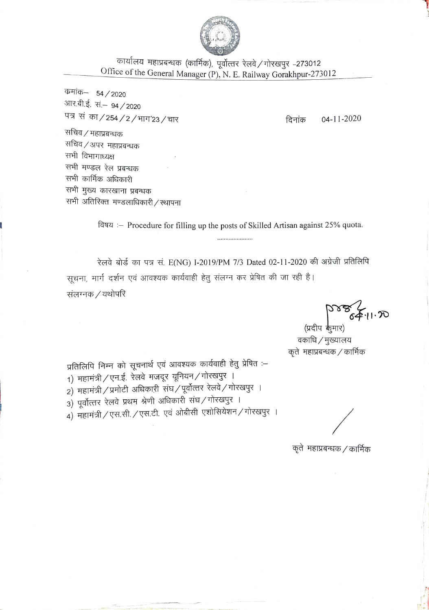

कार्यालय महाप्रबन्धक (कार्मिक), पूर्वोत्तर रेलवे / गोरखपुर –273012 Office of the General Manager (P), N. E. Railway Gorakhpur-273012

कमांक– 54 / 2020 आर.बी.ई. सं.– 94 / 2020 पत्र सं का / 254 / 2 / भाग'23 / चार

 $04 - 11 - 2020$ दिनांक

सचिव / महाप्रबन्धक सचिव / अपर महाप्रबन्धक सभी विभागाध्यक्ष सभी मण्डल रेल प्रबन्धक सभी कार्मिक अधिकारी सभी मुख्य कारखाना प्रबन्धक सभी अतिरिक्त मण्डलाधिकारी / स्थापना

> विषय :- Procedure for filling up the posts of Skilled Artisan against 25% quota.

रेलवे बोर्ड का पत्र सं. E(NG) I-2019/PM 7/3 Dated 02-11-2020 की अंग्रेजी प्रतिलिपि सूचना, मार्ग दर्शन एवं आवश्यक कार्यवाही हेतु संलग्न कर प्रेषित की जा रही है। संलग्नक / यथोपरि

(प्रदीप कुमार) वकाधि / मुख्यालय कृते महाप्रबन्धक / कार्मिक

प्रतिलिपि निम्न को सूचनार्थ एवं आवश्यक कार्यवाही हेतु प्रेषित :–

- 1) महामंत्री ⁄ एन.ई. रेलवे मजदूर यूनियन ⁄ गोरखपुर ।
- 2) महामंत्री / प्रमोटी अधिकारी संघ / पूर्वोत्तर रेलवे / गोरखपुर ।
- 3) पूर्वोत्तर रेलवे प्रथम श्रेणी अधिकारी संघ/गोरखपुर ।
- 4) महामंत्री / एस.सी. / एस.टी. एवं ओबीसी एशोसियेशन / गोरखपुर ।

कृते) महाप्रबन्धक / कार्मिक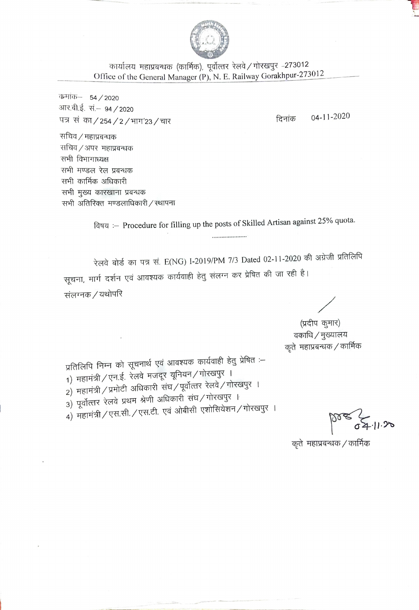

कार्यालय महाप्रबन्धक (कार्मिक), पूर्वोत्तर रेलवे / गोरखपुर -273012 Office of the General Manager (P), N. E. Railway Gorakhpur-273012

कमांक– 54 / 2020 आर.बी.ई. सं.– 94 / 2020 पत्र सं का / 254 / 2 / भाग'23 / चार

04-11-2020 दिनांक

सचिव / महाप्रबन्धक सचिव / अपर महाप्रबन्धक सभी विभागाध्यक्ष सभी मण्डल रेल प्रबन्धक सभी कार्मिक अधिकारी सभी मुख्य कारखाना प्रबन्धक सभी अतिरिक्त मण्डलाधिकारी / स्थापना

> विषय :- Procedure for filling up the posts of Skilled Artisan against 25% quota. ....................

रेलवे बोर्ड का पत्र सं. E(NG) I-2019/PM 7/3 Dated 02-11-2020 की अंग्रेजी प्रतिलिपि सूचना, मार्ग दर्शन एवं आवश्यक कार्यवाही हेतु संलग्न कर प्रेषित की जा रही है। संलग्नक / यथोपरि

(प्रदीप कूमार) वकाधि / मुख्यालय कृते महाप्रबन्धक / कार्मिक

प्रतिलिपि निम्न को सूचनार्थ एवं आवश्यक कार्यवाही हेतु प्रेषित :-1) महामंत्री / एन.ई. रेलवे मजदूर यूनियन / गोरखपुर । 2) महामंत्री / प्रमोटी अधिकारी संघ / पूर्वोत्तर रेलवे / गोरखपुर । 3) पूर्वोत्तर रेलवे प्रथम श्रेणी अधिकारी संघ⁄गोरखपुर । 4) महामंत्री / एस.सी. / एस.टी. एवं ओबीसी एशोसियेशन / गोरखपुर ।

कृते महाप्रबन्धक / कार्मिक